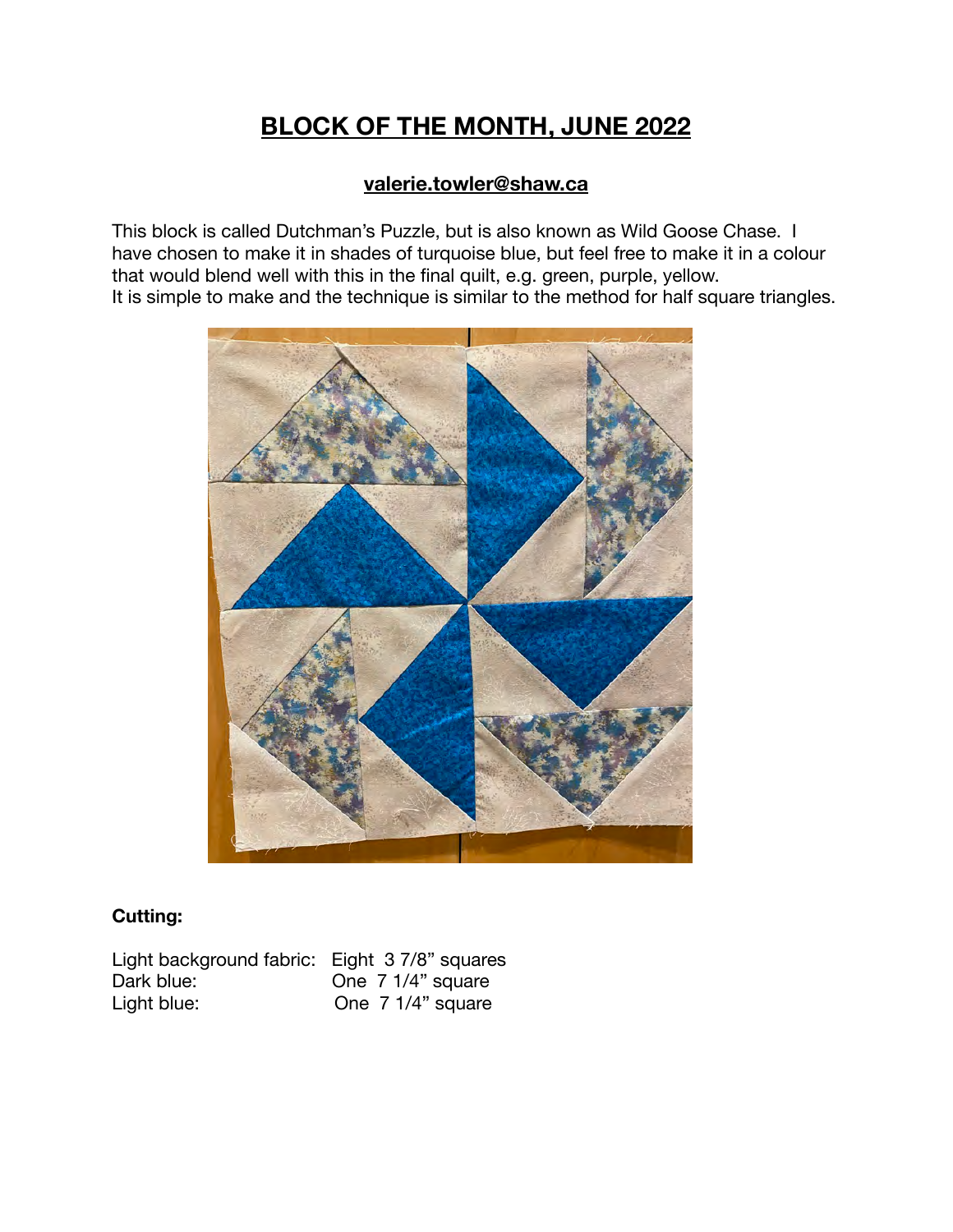## **BLOCK OF THE MONTH, JUNE 2022**

## **[valerie.towler@shaw.ca](mailto:valerie.towler@shaw.ca)**

This block is called Dutchman's Puzzle, but is also known as Wild Goose Chase. I have chosen to make it in shades of turquoise blue, but feel free to make it in a colour that would blend well with this in the final quilt, e.g. green, purple, yellow. It is simple to make and the technique is similar to the method for half square triangles.



## **Cutting:**

Light background fabric: Eight 3 7/8" squares Dark blue: One 7 1/4" square<br>Light blue: One 7 1/4" square One  $7 \frac{1}{4}$ " square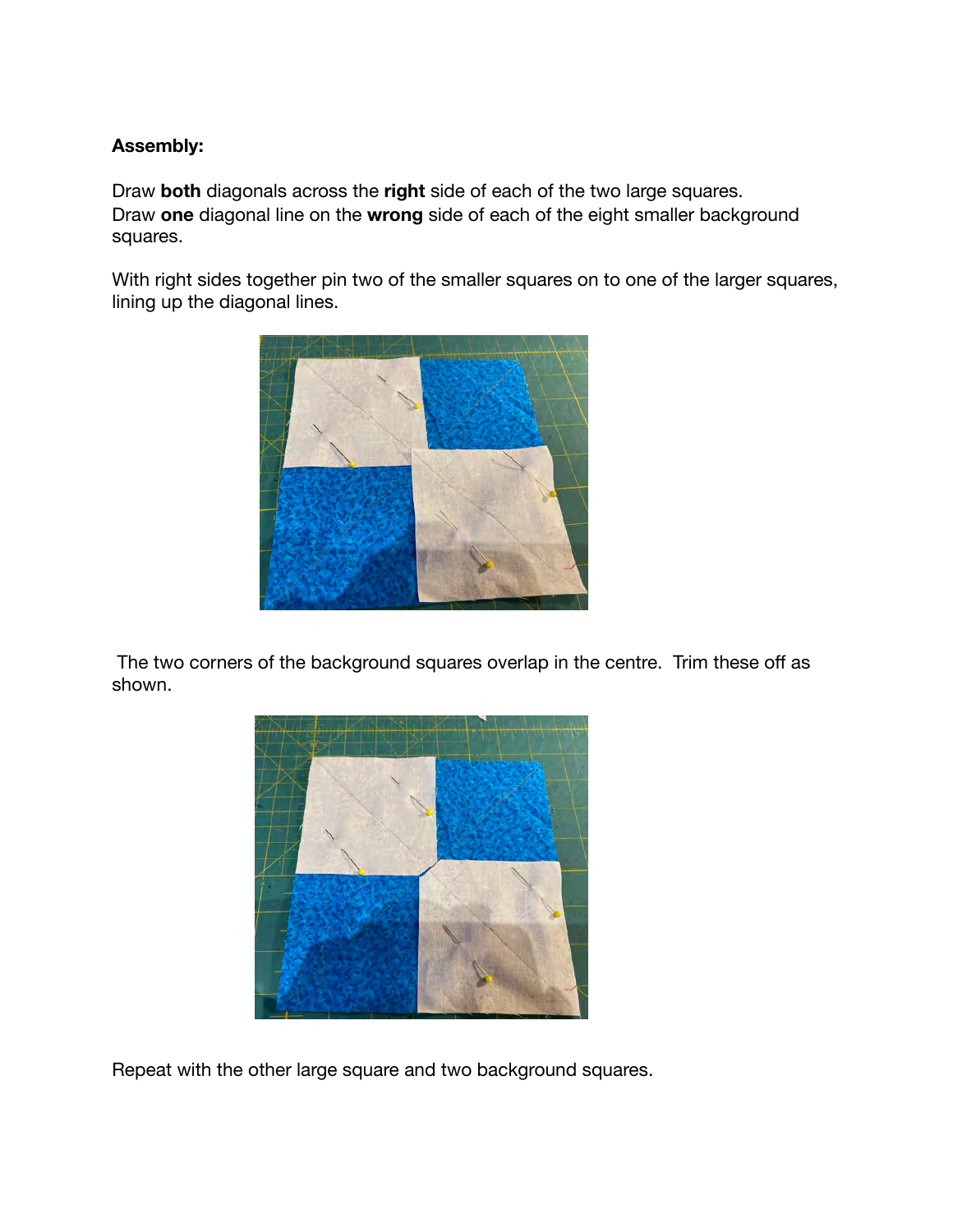## **Assembly:**

Draw **both** diagonals across the **right** side of each of the two large squares. Draw **one** diagonal line on the **wrong** side of each of the eight smaller background squares.

With right sides together pin two of the smaller squares on to one of the larger squares, lining up the diagonal lines.



 The two corners of the background squares overlap in the centre. Trim these off as shown.



Repeat with the other large square and two background squares.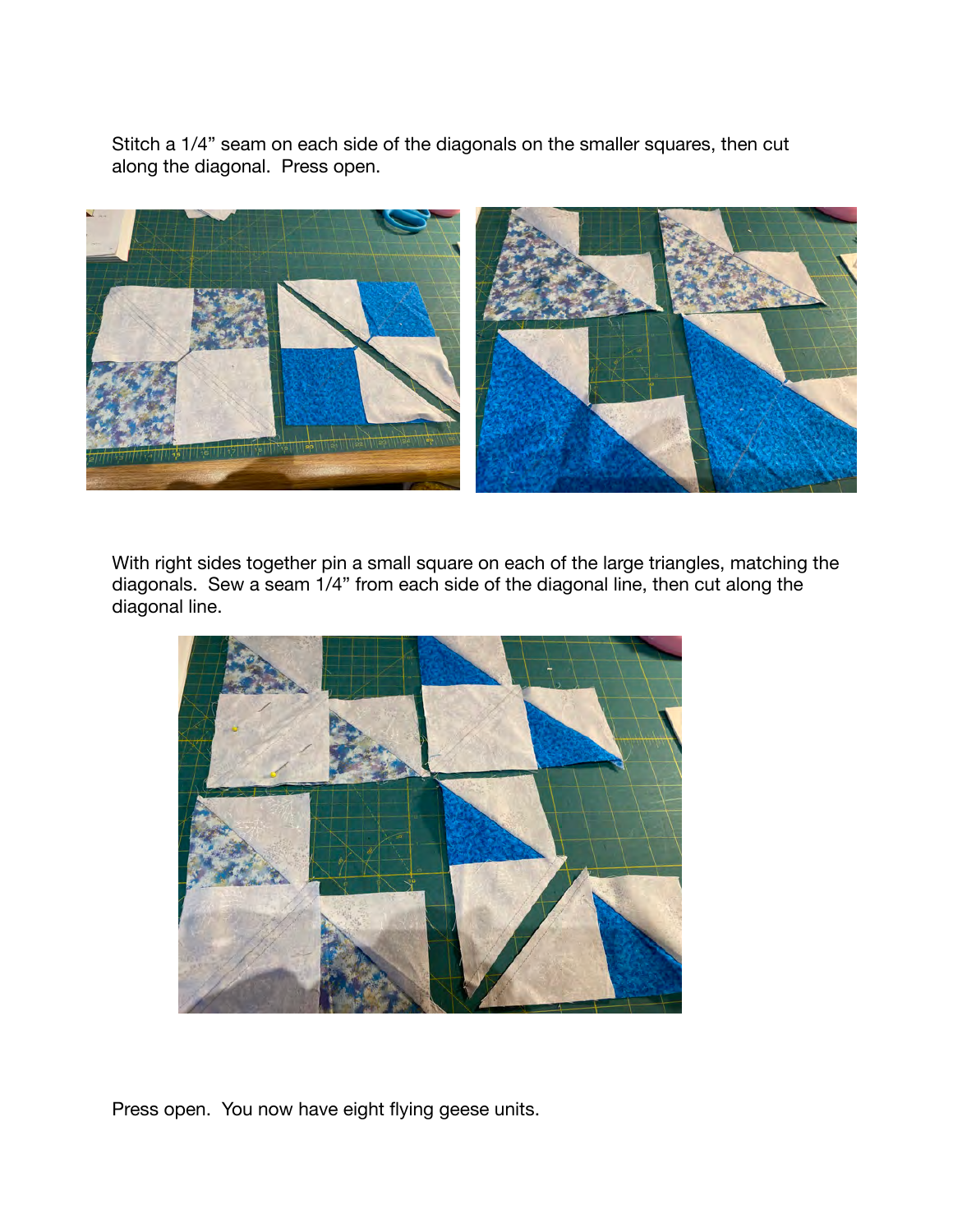Stitch a 1/4" seam on each side of the diagonals on the smaller squares, then cut along the diagonal. Press open.



With right sides together pin a small square on each of the large triangles, matching the diagonals. Sew a seam 1/4" from each side of the diagonal line, then cut along the diagonal line.



Press open. You now have eight flying geese units.